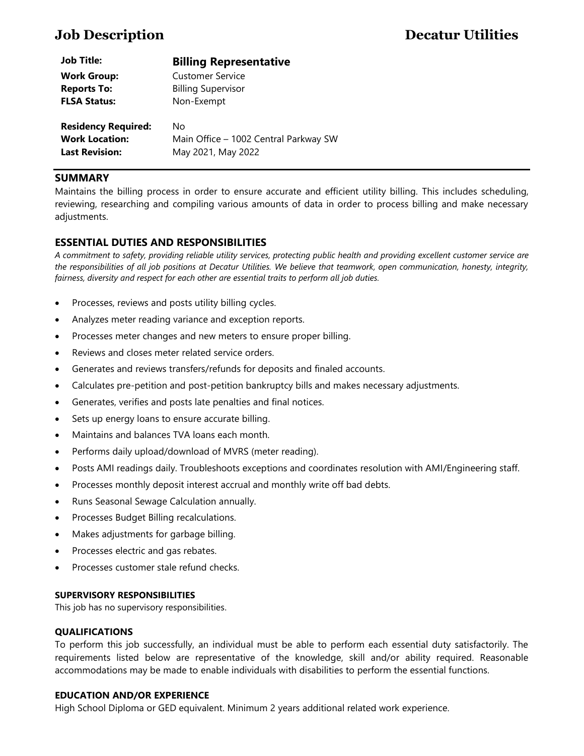| <b>Job Title:</b>          | <b>Billing Representative</b>         |
|----------------------------|---------------------------------------|
| <b>Work Group:</b>         | <b>Customer Service</b>               |
| <b>Reports To:</b>         | <b>Billing Supervisor</b>             |
| <b>FLSA Status:</b>        | Non-Exempt                            |
| <b>Residency Required:</b> | No                                    |
| <b>Work Location:</b>      | Main Office - 1002 Central Parkway SW |
| <b>Last Revision:</b>      | May 2021, May 2022                    |

### **SUMMARY**

Maintains the billing process in order to ensure accurate and efficient utility billing. This includes scheduling, reviewing, researching and compiling various amounts of data in order to process billing and make necessary adjustments.

# **ESSENTIAL DUTIES AND RESPONSIBILITIES**

*A commitment to safety, providing reliable utility services, protecting public health and providing excellent customer service are the responsibilities of all job positions at Decatur Utilities. We believe that teamwork, open communication, honesty, integrity, fairness, diversity and respect for each other are essential traits to perform all job duties.*

- Processes, reviews and posts utility billing cycles.
- Analyzes meter reading variance and exception reports.
- Processes meter changes and new meters to ensure proper billing.
- Reviews and closes meter related service orders.
- Generates and reviews transfers/refunds for deposits and finaled accounts.
- Calculates pre-petition and post-petition bankruptcy bills and makes necessary adjustments.
- Generates, verifies and posts late penalties and final notices.
- Sets up energy loans to ensure accurate billing.
- Maintains and balances TVA loans each month.
- Performs daily upload/download of MVRS (meter reading).
- Posts AMI readings daily. Troubleshoots exceptions and coordinates resolution with AMI/Engineering staff.
- Processes monthly deposit interest accrual and monthly write off bad debts.
- Runs Seasonal Sewage Calculation annually.
- Processes Budget Billing recalculations.
- Makes adjustments for garbage billing.
- Processes electric and gas rebates.
- Processes customer stale refund checks.

#### **SUPERVISORY RESPONSIBILITIES**

This job has no supervisory responsibilities.

#### **QUALIFICATIONS**

To perform this job successfully, an individual must be able to perform each essential duty satisfactorily. The requirements listed below are representative of the knowledge, skill and/or ability required. Reasonable accommodations may be made to enable individuals with disabilities to perform the essential functions.

#### **EDUCATION AND/OR EXPERIENCE**

High School Diploma or GED equivalent. Minimum 2 years additional related work experience.